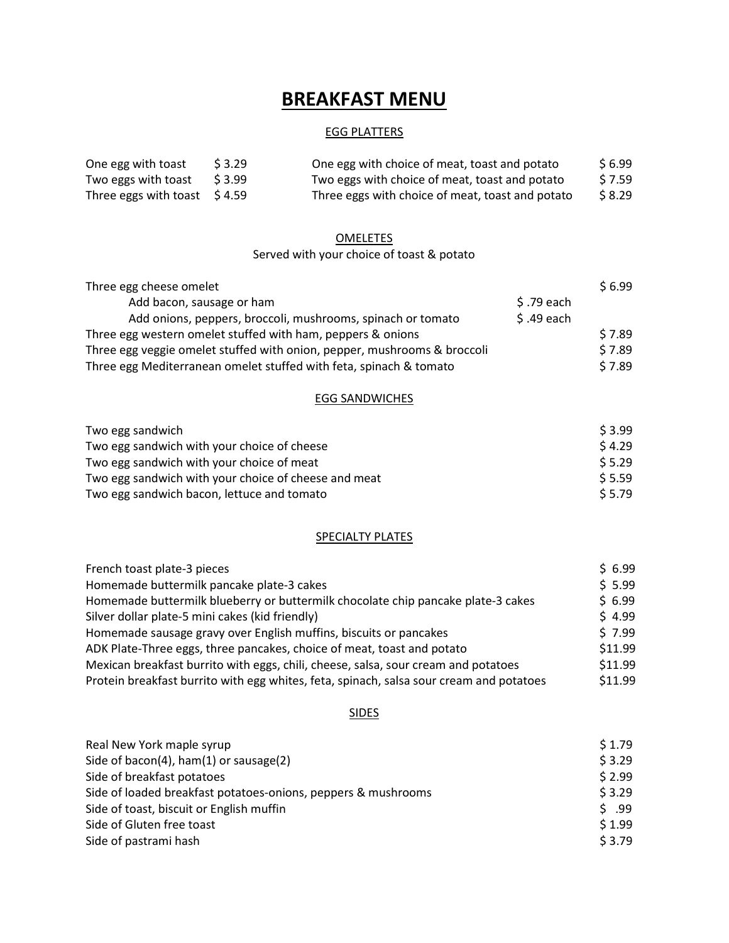# BREAKFAST MENU

# EGG PLATTERS

| One egg with toast                       | S 3.29 | One egg with choice of meat, toast and potato    | \$6.99  |
|------------------------------------------|--------|--------------------------------------------------|---------|
| Two eggs with toast $\frac{1}{2}$ \$3.99 |        | Two eggs with choice of meat, toast and potato   | \$ 7.59 |
| Three eggs with toast $$4.59$            |        | Three eggs with choice of meat, toast and potato | \$8.29  |

# **OMELETES**

# Served with your choice of toast & potato

| Three egg cheese omelet                                                  |             | \$6.99 |
|--------------------------------------------------------------------------|-------------|--------|
| Add bacon, sausage or ham                                                | $$.79$ each |        |
| Add onions, peppers, broccoli, mushrooms, spinach or tomato              | $$.49$ each |        |
| Three egg western omelet stuffed with ham, peppers & onions              |             | \$7.89 |
| Three egg veggie omelet stuffed with onion, pepper, mushrooms & broccoli |             | \$7.89 |
| Three egg Mediterranean omelet stuffed with feta, spinach & tomato       |             | \$7.89 |

### EGG SANDWICHES

| Two egg sandwich                                     | S 3.99 |
|------------------------------------------------------|--------|
| Two egg sandwich with your choice of cheese          | \$4.29 |
| Two egg sandwich with your choice of meat            | \$5.29 |
| Two egg sandwich with your choice of cheese and meat | 5.5.59 |
| Two egg sandwich bacon, lettuce and tomato           | \$5.79 |

# **SPECIALTY PLATES**

| French toast plate-3 pieces                                                             | \$6.99  |
|-----------------------------------------------------------------------------------------|---------|
| Homemade buttermilk pancake plate-3 cakes                                               | \$5.99  |
| Homemade buttermilk blueberry or buttermilk chocolate chip pancake plate-3 cakes        | \$6.99  |
| Silver dollar plate-5 mini cakes (kid friendly)                                         | \$4.99  |
| Homemade sausage gravy over English muffins, biscuits or pancakes                       | \$7.99  |
| ADK Plate-Three eggs, three pancakes, choice of meat, toast and potato                  | \$11.99 |
| Mexican breakfast burrito with eggs, chili, cheese, salsa, sour cream and potatoes      | \$11.99 |
| Protein breakfast burrito with egg whites, feta, spinach, salsa sour cream and potatoes | \$11.99 |

# SIDES

| Real New York maple syrup                                     | \$1.79 |
|---------------------------------------------------------------|--------|
| Side of bacon(4), ham(1) or sausage(2)                        | \$3.29 |
| Side of breakfast potatoes                                    | \$2.99 |
| Side of loaded breakfast potatoes-onions, peppers & mushrooms | \$3.29 |
| Side of toast, biscuit or English muffin                      | \$99   |
| Side of Gluten free toast                                     | \$1.99 |
| Side of pastrami hash                                         | \$3.79 |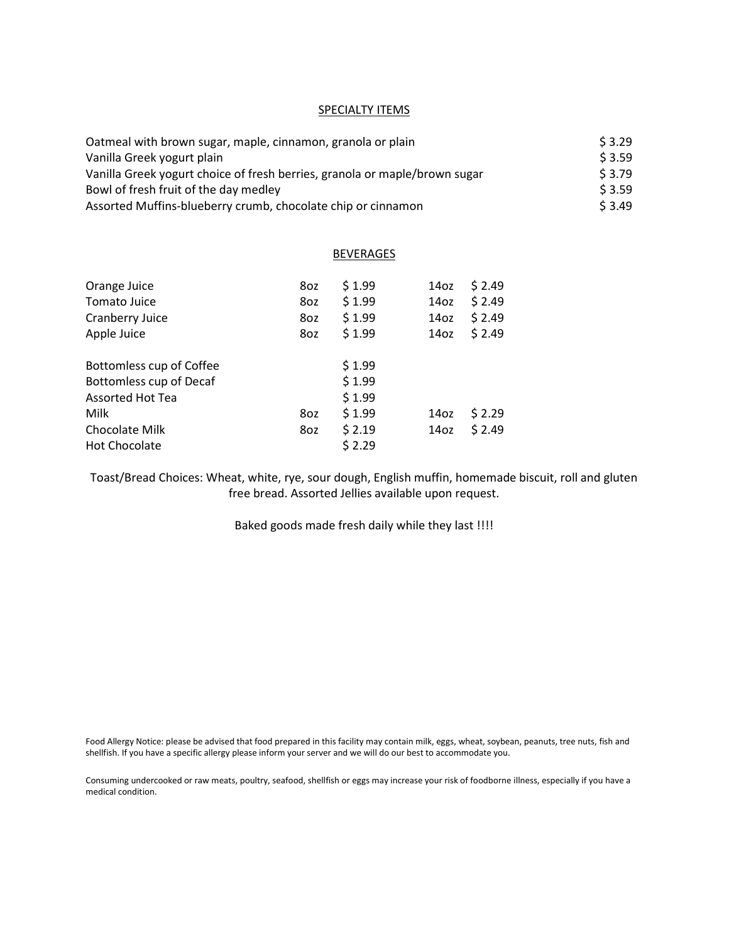#### **SPECIALTY ITEMS**

| Oatmeal with brown sugar, maple, cinnamon, granola or plain                | \$3.29 |
|----------------------------------------------------------------------------|--------|
| Vanilla Greek yogurt plain                                                 | \$3.59 |
| Vanilla Greek yogurt choice of fresh berries, granola or maple/brown sugar | \$3.79 |
| Bowl of fresh fruit of the day medley                                      | \$3.59 |
| Assorted Muffins-blueberry crumb, chocolate chip or cinnamon               | \$3.49 |

#### **BEVERAGES**

| Orange Juice<br>Tomato Juice<br>Cranberry Juice<br>Apple Juice | 8oz<br>8oz<br>8oz<br>8oz | \$1.99<br>\$1.99<br>\$1.99<br>\$1.99 | 14 <sub>oz</sub><br>14 <sub>oz</sub><br>14 <sub>oz</sub><br>14 <sub>oz</sub> | \$2.49<br>\$2.49<br>\$2.49<br>\$2.49 |
|----------------------------------------------------------------|--------------------------|--------------------------------------|------------------------------------------------------------------------------|--------------------------------------|
| Bottomless cup of Coffee                                       |                          | \$1.99                               |                                                                              |                                      |
| Bottomless cup of Decaf                                        |                          | \$1.99                               |                                                                              |                                      |
| Assorted Hot Tea                                               |                          | \$1.99                               |                                                                              |                                      |
| Milk                                                           | 8oz                      | \$1.99                               | 14 <sub>oz</sub>                                                             | \$2.29                               |
| Chocolate Milk                                                 | 8oz                      | \$2.19                               | 14 <sub>oz</sub>                                                             | \$2.49                               |
| <b>Hot Chocolate</b>                                           |                          | \$2.29                               |                                                                              |                                      |

Toast/Bread Choices: Wheat, white, rye, sour dough, English muffin, homemade biscuit, roll and gluten free bread. Assorted Jellies available upon request.

Baked goods made fresh daily while they last !!!!

Food Allergy Notice: please be advised that food prepared in this facility may contain milk, eggs, wheat, soybean, peanuts, tree nuts, fish and shellfish. If you have a specific allergy please inform your server and we will do our best to accommodate you.

Consuming undercooked or raw meats, poultry, seafood, shellfish or eggs may increase your risk of foodborne illness, especially if you have a medical condition.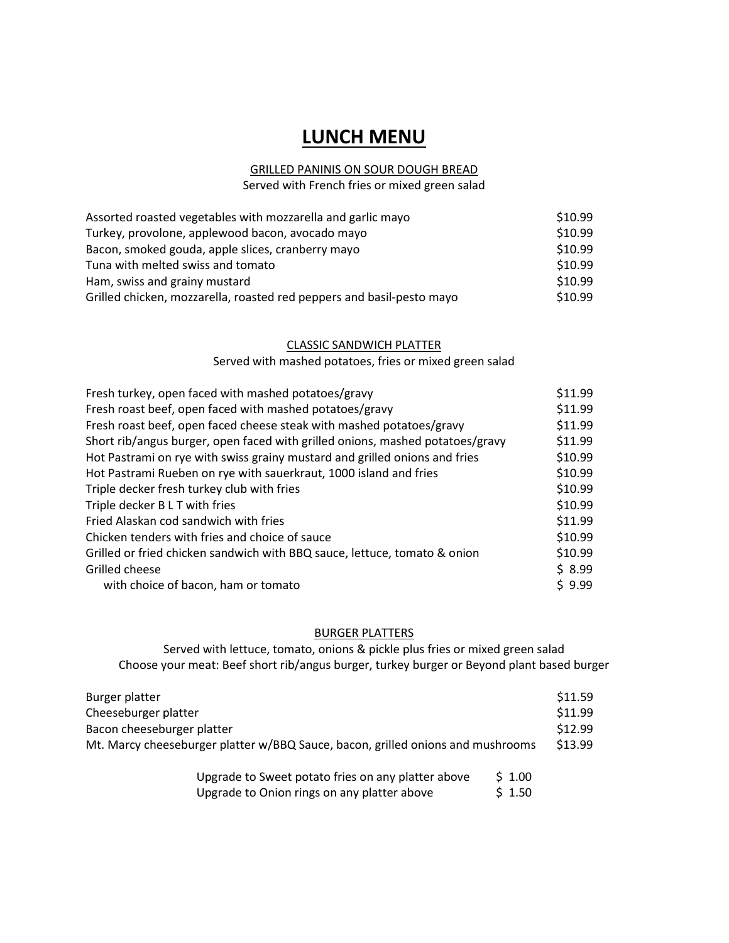# LUNCH MENU

# GRILLED PANINIS ON SOUR DOUGH BREAD

Served with French fries or mixed green salad

| Assorted roasted vegetables with mozzarella and garlic mayo           | \$10.99 |
|-----------------------------------------------------------------------|---------|
| Turkey, provolone, applewood bacon, avocado mayo                      | \$10.99 |
| Bacon, smoked gouda, apple slices, cranberry mayo                     | \$10.99 |
| Tuna with melted swiss and tomato                                     | \$10.99 |
| Ham, swiss and grainy mustard                                         | \$10.99 |
| Grilled chicken, mozzarella, roasted red peppers and basil-pesto mayo | \$10.99 |

# CLASSIC SANDWICH PLATTER

Served with mashed potatoes, fries or mixed green salad

| Fresh turkey, open faced with mashed potatoes/gravy                           | \$11.99 |
|-------------------------------------------------------------------------------|---------|
| Fresh roast beef, open faced with mashed potatoes/gravy                       | \$11.99 |
| Fresh roast beef, open faced cheese steak with mashed potatoes/gravy          | \$11.99 |
| Short rib/angus burger, open faced with grilled onions, mashed potatoes/gravy | \$11.99 |
| Hot Pastrami on rye with swiss grainy mustard and grilled onions and fries    | \$10.99 |
| Hot Pastrami Rueben on rye with sauerkraut, 1000 island and fries             | \$10.99 |
| Triple decker fresh turkey club with fries                                    | \$10.99 |
| Triple decker B L T with fries                                                | \$10.99 |
| Fried Alaskan cod sandwich with fries                                         | \$11.99 |
| Chicken tenders with fries and choice of sauce                                | \$10.99 |
| Grilled or fried chicken sandwich with BBQ sauce, lettuce, tomato & onion     | \$10.99 |
| Grilled cheese                                                                | \$8.99  |
| with choice of bacon, ham or tomato                                           | 59.99   |

#### BURGER PLATTERS

Served with lettuce, tomato, onions & pickle plus fries or mixed green salad Choose your meat: Beef short rib/angus burger, turkey burger or Beyond plant based burger

| Burger platter                                                                  |        | \$11.59 |
|---------------------------------------------------------------------------------|--------|---------|
| Cheeseburger platter                                                            |        | \$11.99 |
| Bacon cheeseburger platter                                                      |        | \$12.99 |
| Mt. Marcy cheeseburger platter w/BBQ Sauce, bacon, grilled onions and mushrooms |        |         |
| Upgrade to Sweet potato fries on any platter above                              | \$1.00 |         |

| Opgrade to Sweet potato mes on any platter above | J 1.00 |
|--------------------------------------------------|--------|
| Upgrade to Onion rings on any platter above      | \$1.50 |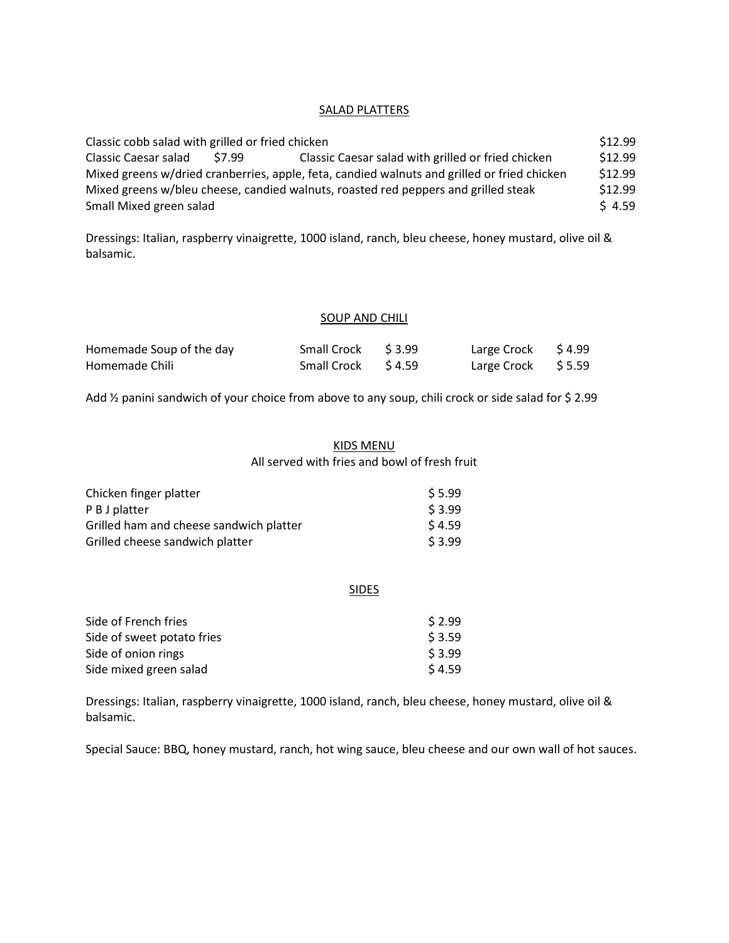#### SALAD PLATTERS

| Classic cobb salad with grilled or fried chicken |        | \$12.99                                                                                     |         |
|--------------------------------------------------|--------|---------------------------------------------------------------------------------------------|---------|
| Classic Caesar salad                             | \$7.99 | Classic Caesar salad with grilled or fried chicken                                          | \$12.99 |
|                                                  |        | Mixed greens w/dried cranberries, apple, feta, candied walnuts and grilled or fried chicken | \$12.99 |
|                                                  |        | Mixed greens w/bleu cheese, candied walnuts, roasted red peppers and grilled steak          | \$12.99 |
| Small Mixed green salad                          |        |                                                                                             | \$4.59  |

Dressings: Italian, raspberry vinaigrette, 1000 island, ranch, bleu cheese, honey mustard, olive oil & balsamic.

#### SOUP AND CHILI

| Homemade Soup of the day | Small Crock \$3.99 | Large Crock $\lessgtr 4.99$ |  |
|--------------------------|--------------------|-----------------------------|--|
| Homemade Chili           | Small Crock \$4.59 | Large Crock $$5.59$         |  |

Add 1/2 panini sandwich of your choice from above to any soup, chili crock or side salad for \$ 2.99

### KIDS MENU

All served with fries and bowl of fresh fruit

| Chicken finger platter                  | \$ 5.99 |
|-----------------------------------------|---------|
| P B J platter                           | \$3.99  |
| Grilled ham and cheese sandwich platter | \$4.59  |
| Grilled cheese sandwich platter         | \$3.99  |

#### **SIDES**

| Side of French fries       | \$ 2.99 |
|----------------------------|---------|
| Side of sweet potato fries | \$3.59  |
| Side of onion rings        | \$3.99  |
| Side mixed green salad     | \$ 4.59 |

Dressings: Italian, raspberry vinaigrette, 1000 island, ranch, bleu cheese, honey mustard, olive oil & balsamic.

Special Sauce: BBQ, honey mustard, ranch, hot wing sauce, bleu cheese and our own wall of hot sauces.